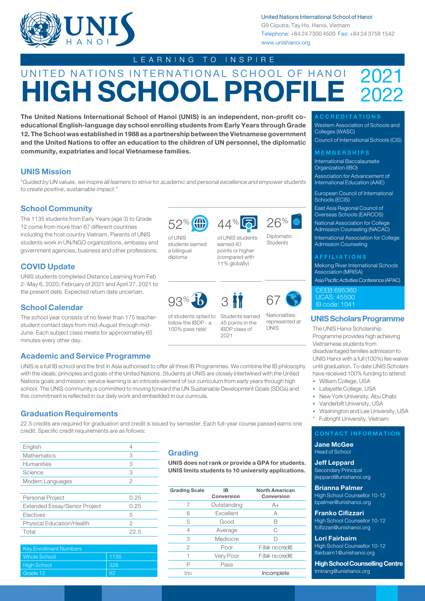

United Nations International School of Hanoi

G9 Ciputra, Tay Ho, Hanoi, Vietnam Telephone: +84 24 7300 4500 Fax: +84 24 3758 1542 www.unishanoi.org

## LEARNING TO INSPIRE

# UNITED NATIONS INTERNATIONAL SCHOOL OF HANOI **HIGH SCHOOL PROFI** 2022

**The United Nations International School of Hanoi (UNIS) is an independent, non-profit coeducational English-language day school enrolling students from Early Years through Grade 12. The School was established in 1988 as a partnership between the Vietnamese government and the United Nations to offer an education to the children of UN personnel, the diplomatic community, expatriates and local Vietnamese families.**

## **UNIS Mission**

*"Guided by UN values, we inspire all learners to strive for academic and personal excellence and empower students to create positive, sustainable impact."*

## **School Community**

The 1135 students from Early Years (age 3) to Grade 12 come from more than 67 different countries including the host country Vietnam. Parents of UNIS students work in UN/NGO organizations, embassy and government agencies, business and other professions.

## **COVID Update**

UNIS students completed Distance Learning from Feb 2- May 6, 2020; February of 2021 and April 27, 2021 to the present date. Expected return date uncertain.

## **School Calendar**

The school year consists of no fewer than 175 teacherstudent contact days from mid-August through mid-June. Each subject class meets for approximately 65 minutes every other day.

## **Academic and Service Programme**

UNIS is a full IB school and the first in Asia authorised to offer all three IB Programmes. We combine the IB philosophy with the ideals, principles and goals of the United Nations. Students at UNIS are closely intertwined with the United Nations goals and mission; service learning is an intricate element of our curriculum from early years through high school. The UNIS community is committed to moving forward the UN Sustainable Development Goals (SDGs) and this commitment is reflected in our daily work and embedded in our curricula.

## **Graduation Requirements**

22.5 credits are required for graduation and credit is issued by semester. Each full-year course passed earns one credit. Specific credit requirements are as follows:

| English                          | 4    |
|----------------------------------|------|
| <b>Mathematics</b>               | 3    |
| Humanities                       | 3    |
| Science                          | 3    |
| Modern Languages                 | 2    |
|                                  |      |
| Personal Project                 | 0.25 |
| Extended Essay/Senior Project    | 0.25 |
| Electives                        | 5    |
| <b>Physical Education/Health</b> | 2    |
| Total                            | 22.5 |
|                                  |      |

| <b>Key Enrollment Numbers</b> |      |
|-------------------------------|------|
| <b>Whole School</b>           | 1135 |
| <b>High School</b>            | -326 |
| Grade 12                      | -82  |

## **Grading**

**UNIS does not rank or provide a GPA for students. UNIS limits students to 10 university applications.** 

| <b>Grading Scale</b> | IB.<br>Conversion | <b>North American</b><br>Conversion |
|----------------------|-------------------|-------------------------------------|
|                      | Outstanding       | $A+$                                |
| 6                    | Excellent         | А                                   |
| 5                    | Good              | В                                   |
| 4                    | Average           | С                                   |
| 3                    | Mediocre          |                                     |
| 2                    | Poor              | F (fail- no credit)                 |
|                      | Very Poor         | F (fail- no credit)                 |
|                      | Pass              |                                     |
| Inc                  |                   | Incomplete                          |

#### **ACCREDITATIONS**

Western Association of Schools and Colleges (WASC)

Council of International Schools (CIS)

#### **MEMBERSHIPS**

International Baccalaureate Organization (IBO)

Association for Advancement of International Education (AAIE)

European Council of International Schools (ECIS)

East Asia Regional Council of Overseas Schools (EARCOS)

National Association for College

Admission Counseling (NACAC)

International Association for College Admission Counseling

#### **AFFILIATIONS**

Mekong River International Schools Association (MRISA) Asia Pacific Activities Conference (APAC)

CEEB:695360 UCAS: 45500 IB code: 1041

## **UNIS Scholars Programme**

The UNIS Hanoi Scholarship Programme provides high achieving Vietnamese students from disadvantaged families admission to UNIS Hanoi with a full (100%) fee waiver until graduation. To date UNIS Scholars have received 100% funding to attend:

- William College, USA
- Lafayette College, USA
- New York University, Abu Dhabi
- Vanderbilt University, USA
- Washington and Lee University, USA

Fulbright University, Vietnam

## **CONTACT INFORMATION**

**Jane McGee** Head of School

**Jeff Leppard**

Secondary Principal jleppard@unishanoi.org

**Brianna Palmer** 

High School Counsellor 10-12 bpalmer@unishanoi.org

**Franko Cifizzari**  High School Counsellor 10-12 fcifizzari@unishanoi.org

**Lori Fairbairn**

High School Counsellor 10-12 lfairbairn1@unishanoi.org

**High School Counselling Centre** tmtrang@unishanoi.org

of UNIS 52%

a bilingual diploma



of UNIS students earned 40 points or higher (compared with 11% globally)



of students opted to follow the IBDP - a 100% pass rate!



2021



Students earned 45 points in the IBDP class of

**I**INIC

Nationalities represented at

44% 26%

Diplomatic Students